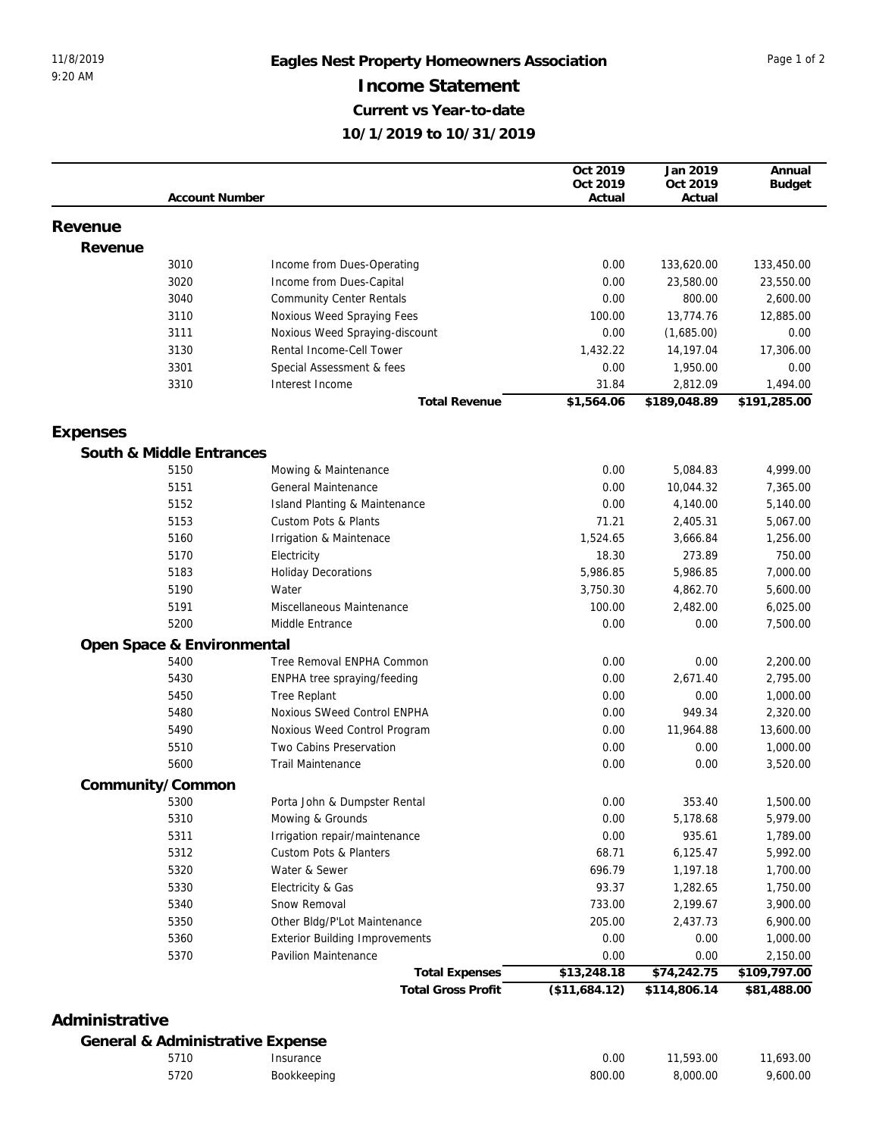|          |                            |                                       | Oct 2019      | Jan 2019     | Annual        |
|----------|----------------------------|---------------------------------------|---------------|--------------|---------------|
|          |                            |                                       | Oct 2019      | Oct 2019     | <b>Budget</b> |
|          | <b>Account Number</b>      |                                       | Actual        | Actual       |               |
| Revenue  |                            |                                       |               |              |               |
| Revenue  |                            |                                       |               |              |               |
|          | 3010                       | Income from Dues-Operating            | 0.00          | 133,620.00   | 133,450.00    |
|          | 3020                       | Income from Dues-Capital              | 0.00          | 23,580.00    | 23,550.00     |
|          | 3040                       | <b>Community Center Rentals</b>       | 0.00          | 800.00       | 2,600.00      |
|          | 3110                       | Noxious Weed Spraying Fees            | 100.00        | 13,774.76    | 12,885.00     |
|          | 3111                       | Noxious Weed Spraying-discount        | 0.00          | (1,685.00)   | 0.00          |
|          | 3130                       | Rental Income-Cell Tower              | 1,432.22      | 14,197.04    | 17,306.00     |
|          | 3301                       | Special Assessment & fees             | 0.00          | 1,950.00     | 0.00          |
|          | 3310                       | Interest Income                       | 31.84         | 2,812.09     | 1,494.00      |
|          |                            | <b>Total Revenue</b>                  | \$1,564.06    | \$189,048.89 | \$191,285.00  |
|          |                            |                                       |               |              |               |
| Expenses |                            |                                       |               |              |               |
|          | South & Middle Entrances   |                                       |               |              |               |
|          | 5150                       | Mowing & Maintenance                  | 0.00          | 5,084.83     | 4,999.00      |
|          | 5151                       | General Maintenance                   | 0.00          | 10,044.32    | 7,365.00      |
|          | 5152                       | Island Planting & Maintenance         | 0.00          | 4,140.00     | 5,140.00      |
|          | 5153                       | Custom Pots & Plants                  | 71.21         | 2,405.31     | 5,067.00      |
|          | 5160                       | Irrigation & Maintenace               | 1,524.65      | 3,666.84     | 1,256.00      |
|          | 5170                       | Electricity                           | 18.30         | 273.89       | 750.00        |
|          | 5183                       | <b>Holiday Decorations</b>            | 5,986.85      | 5,986.85     | 7,000.00      |
|          | 5190                       | Water                                 | 3,750.30      | 4,862.70     | 5,600.00      |
|          | 5191                       | Miscellaneous Maintenance             | 100.00        | 2,482.00     | 6,025.00      |
|          | 5200                       | Middle Entrance                       | 0.00          | 0.00         | 7,500.00      |
|          | Open Space & Environmental |                                       |               |              |               |
|          | 5400                       | Tree Removal ENPHA Common             | 0.00          | 0.00         | 2,200.00      |
|          | 5430                       | ENPHA tree spraying/feeding           | 0.00          | 2,671.40     | 2,795.00      |
|          | 5450                       | <b>Tree Replant</b>                   | 0.00          | 0.00         | 1,000.00      |
|          | 5480                       | Noxious SWeed Control ENPHA           | 0.00          | 949.34       | 2,320.00      |
|          | 5490                       | Noxious Weed Control Program          | 0.00          | 11,964.88    | 13,600.00     |
|          | 5510                       | Two Cabins Preservation               | 0.00          | 0.00         | 1,000.00      |
|          | 5600                       | <b>Trail Maintenance</b>              | 0.00          | 0.00         | 3,520.00      |
|          | Community/Common           |                                       |               |              |               |
|          | 5300                       | Porta John & Dumpster Rental          | 0.00          | 353.40       | 1,500.00      |
|          | 5310                       | Mowing & Grounds                      | 0.00          | 5,178.68     | 5,979.00      |
|          | 5311                       | Irrigation repair/maintenance         | 0.00          | 935.61       | 1,789.00      |
|          | 5312                       | Custom Pots & Planters                | 68.71         | 6,125.47     | 5,992.00      |
|          | 5320                       | Water & Sewer                         | 696.79        | 1,197.18     | 1,700.00      |
|          | 5330                       | Electricity & Gas                     | 93.37         | 1,282.65     | 1,750.00      |
|          | 5340                       | Snow Removal                          | 733.00        | 2,199.67     | 3,900.00      |
|          | 5350                       | Other Bldg/P'Lot Maintenance          | 205.00        | 2,437.73     | 6,900.00      |
|          | 5360                       | <b>Exterior Building Improvements</b> | 0.00          | 0.00         | 1,000.00      |
|          | 5370                       | Pavilion Maintenance                  | 0.00          | 0.00         | 2,150.00      |
|          |                            | <b>Total Expenses</b>                 | \$13,248.18   | \$74,242.75  | \$109,797.00  |
|          |                            | <b>Total Gross Profit</b>             | (\$11,684.12) | \$114,806.14 | \$81,488.00   |
|          |                            |                                       |               |              |               |

## **Administrative**

## **General & Administrative Expense**

| 5710 | 'nsurance   | 0.00   | 11,593.00 | .693.00  |
|------|-------------|--------|-----------|----------|
| 5720 | Bookkeeping | 800.00 | 3,000.00  | 9.600.00 |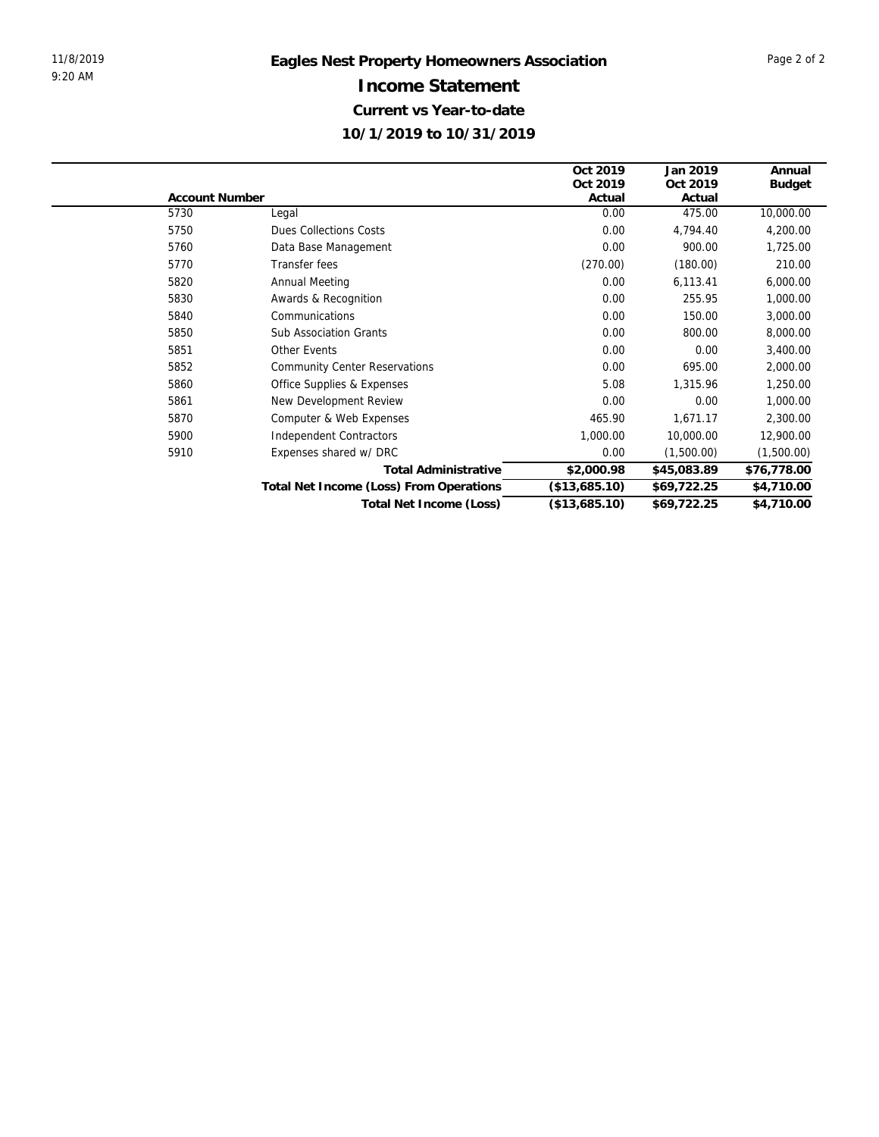|                                         | Oct 2019              | Jan 2019    | Annual        |
|-----------------------------------------|-----------------------|-------------|---------------|
|                                         | Oct 2019              | Oct 2019    | <b>Budget</b> |
|                                         | Actual                | Actual      |               |
| Legal                                   | 0.00                  | 475.00      | 10,000.00     |
| <b>Dues Collections Costs</b>           | 0.00                  | 4,794.40    | 4,200.00      |
| Data Base Management                    | 0.00                  | 900.00      | 1,725.00      |
| Transfer fees                           | (270.00)              | (180.00)    | 210.00        |
| Annual Meeting                          | 0.00                  | 6,113.41    | 6,000.00      |
| Awards & Recognition                    | 0.00                  | 255.95      | 1,000.00      |
| Communications                          | 0.00                  | 150.00      | 3,000.00      |
| <b>Sub Association Grants</b>           | 0.00                  | 800.00      | 8,000.00      |
| <b>Other Events</b>                     | 0.00                  | 0.00        | 3,400.00      |
| <b>Community Center Reservations</b>    | 0.00                  | 695.00      | 2,000.00      |
| Office Supplies & Expenses              | 5.08                  | 1,315.96    | 1,250.00      |
| New Development Review                  | 0.00                  | 0.00        | 1,000.00      |
| Computer & Web Expenses                 | 465.90                | 1,671.17    | 2,300.00      |
| <b>Independent Contractors</b>          | 1,000.00              | 10,000.00   | 12,900.00     |
| Expenses shared w/ DRC                  | 0.00                  | (1,500.00)  | (1,500.00)    |
| <b>Total Administrative</b>             | \$2,000.98            | \$45,083.89 | \$76,778.00   |
| Total Net Income (Loss) From Operations | (\$13,685.10)         | \$69,722.25 | \$4,710.00    |
| Total Net Income (Loss)                 | (\$13,685.10)         | \$69,722.25 | \$4,710.00    |
|                                         | <b>Account Number</b> |             |               |